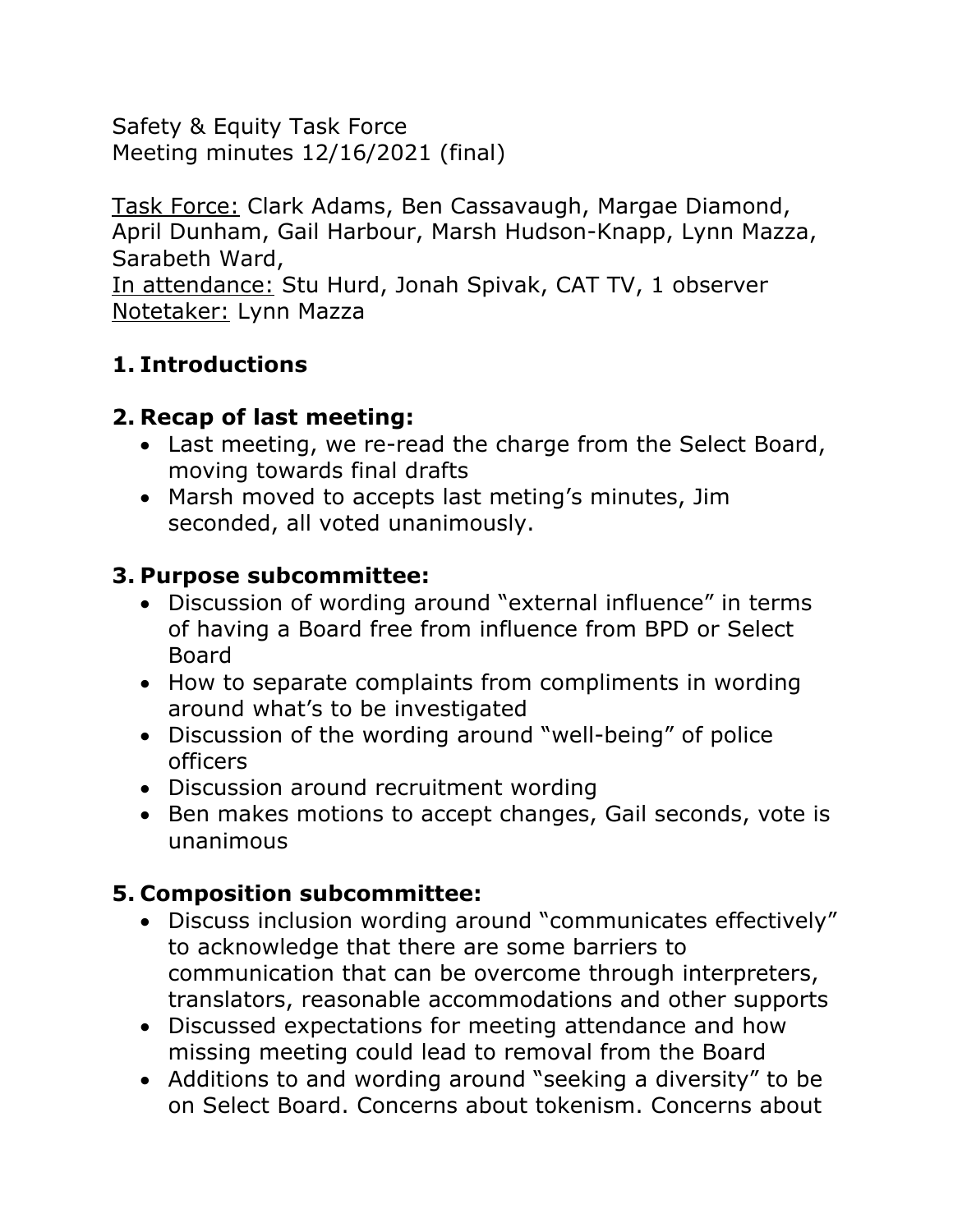Safety & Equity Task Force Meeting minutes 12/16/2021 (final)

Task Force: Clark Adams, Ben Cassavaugh, Margae Diamond, April Dunham, Gail Harbour, Marsh Hudson-Knapp, Lynn Mazza, Sarabeth Ward, In attendance: Stu Hurd, Jonah Spivak, CAT TV, 1 observer Notetaker: Lynn Mazza

## **1. Introductions**

## **2. Recap of last meeting:**

- Last meeting, we re-read the charge from the Select Board, moving towards final drafts
- Marsh moved to accepts last meting's minutes, Jim seconded, all voted unanimously.

### **3. Purpose subcommittee:**

- Discussion of wording around "external influence" in terms of having a Board free from influence from BPD or Select Board
- How to separate complaints from compliments in wording around what's to be investigated
- Discussion of the wording around "well-being" of police officers
- Discussion around recruitment wording
- Ben makes motions to accept changes, Gail seconds, vote is unanimous

# **5. Composition subcommittee:**

- Discuss inclusion wording around "communicates effectively" to acknowledge that there are some barriers to communication that can be overcome through interpreters, translators, reasonable accommodations and other supports
- Discussed expectations for meeting attendance and how missing meeting could lead to removal from the Board
- Additions to and wording around "seeking a diversity" to be on Select Board. Concerns about tokenism. Concerns about